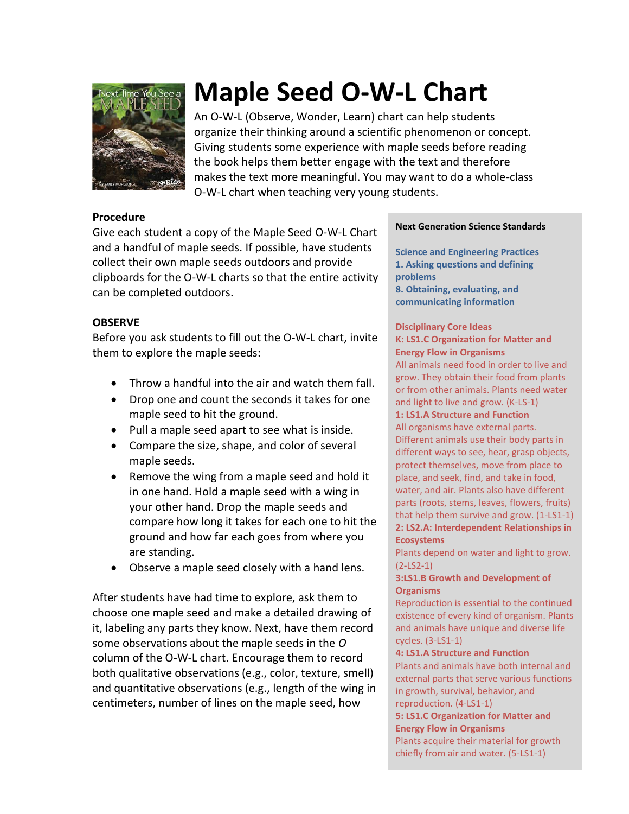

# **Maple Seed O-W-L Chart**

An O-W-L (Observe, Wonder, Learn) chart can help students organize their thinking around a scientific phenomenon or concept. Giving students some experience with maple seeds before reading the book helps them better engage with the text and therefore makes the text more meaningful. You may want to do a whole-class O-W-L chart when teaching very young students.

### **Procedure**

Give each student a copy of the Maple Seed O-W-L Chart and a handful of maple seeds. If possible, have students collect their own maple seeds outdoors and provide clipboards for the O-W-L charts so that the entire activity can be completed outdoors.

# **OBSERVE**

Before you ask students to fill out the O-W-L chart, invite them to explore the maple seeds:

- Throw a handful into the air and watch them fall.
- Drop one and count the seconds it takes for one maple seed to hit the ground.
- Pull a maple seed apart to see what is inside.
- Compare the size, shape, and color of several maple seeds.
- Remove the wing from a maple seed and hold it in one hand. Hold a maple seed with a wing in your other hand. Drop the maple seeds and compare how long it takes for each one to hit the ground and how far each goes from where you are standing.
- Observe a maple seed closely with a hand lens.

After students have had time to explore, ask them to choose one maple seed and make a detailed drawing of it, labeling any parts they know. Next, have them record some observations about the maple seeds in the *O* column of the O-W-L chart. Encourage them to record both qualitative observations (e.g., color, texture, smell) and quantitative observations (e.g., length of the wing in centimeters, number of lines on the maple seed, how

#### **Next Generation Science Standards**

**Science and Engineering Practices 1. Asking questions and defining problems 8. Obtaining, evaluating, and communicating information**

#### **Disciplinary Core Ideas K: LS1.C Organization for Matter and Energy Flow in Organisms**

All animals need food in order to live and grow. They obtain their food from plants or from other animals. Plants need water and light to live and grow. (K-LS-1)

**1: LS1.A Structure and Function**

All organisms have external parts. Different animals use their body parts in different ways to see, hear, grasp objects, protect themselves, move from place to place, and seek, find, and take in food, water, and air. Plants also have different parts (roots, stems, leaves, flowers, fruits) that help them survive and grow. (1-LS1-1) **2: LS2.A: Interdependent Relationships in Ecosystems**

Plants depend on water and light to grow. (2-LS2-1)

#### **3:LS1.B Growth and Development of Organisms**

Reproduction is essential to the continued existence of every kind of organism. Plants and animals have unique and diverse life cycles. (3-LS1-1)

#### **4: LS1.A Structure and Function**

Plants and animals have both internal and external parts that serve various functions in growth, survival, behavior, and reproduction. (4-LS1-1)

#### **5: LS1.C Organization for Matter and Energy Flow in Organisms**

Plants acquire their material for growth chiefly from air and water. (5-LS1-1)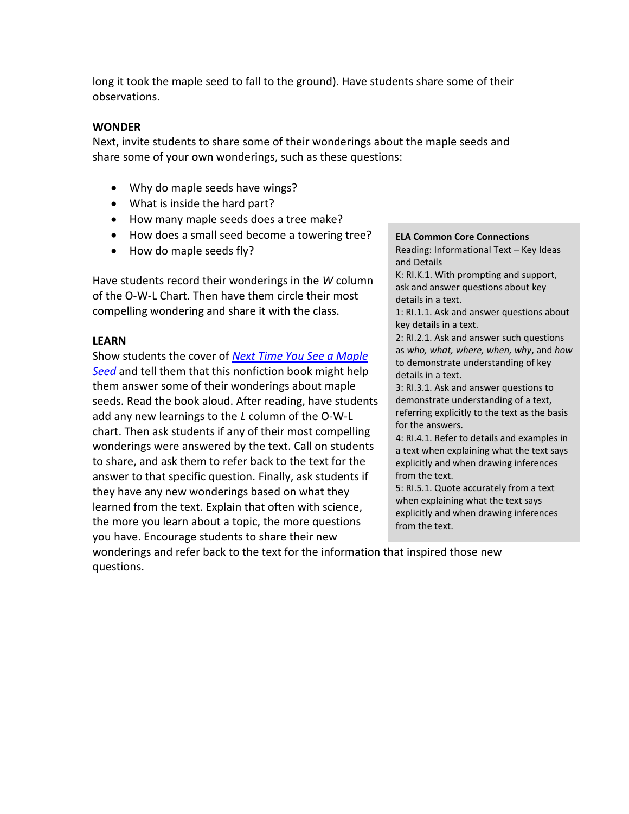long it took the maple seed to fall to the ground). Have students share some of their observations.

# **WONDER**

Next, invite students to share some of their wonderings about the maple seeds and share some of your own wonderings, such as these questions:

- Why do maple seeds have wings?
- What is inside the hard part?
- How many maple seeds does a tree make?
- How does a small seed become a towering tree?
- How do maple seeds fly?

Have students record their wonderings in the *W* column of the O-W-L Chart. Then have them circle their most compelling wondering and share it with the class.

# **LEARN**

Show students the cover of *[Next Time You See a Maple](http://www.nsta.org/store/product_detail.aspx?id=10.2505/9781938946356)  [Seed](http://www.nsta.org/store/product_detail.aspx?id=10.2505/9781938946356)* and tell them that this nonfiction book might help them answer some of their wonderings about maple seeds. Read the book aloud. After reading, have students add any new learnings to the *L* column of the O-W-L chart. Then ask students if any of their most compelling wonderings were answered by the text. Call on students to share, and ask them to refer back to the text for the answer to that specific question. Finally, ask students if they have any new wonderings based on what they learned from the text. Explain that often with science, the more you learn about a topic, the more questions you have. Encourage students to share their new

#### **ELA Common Core Connections** Reading: Informational Text – Key Ideas

and Details K: RI.K.1. With prompting and support,

ask and answer questions about key details in a text.

1: RI.1.1. Ask and answer questions about key details in a text.

2: RI.2.1. Ask and answer such questions as *who, what, where, when, why*, and *how* to demonstrate understanding of key details in a text.

3: RI.3.1. Ask and answer questions to demonstrate understanding of a text, referring explicitly to the text as the basis for the answers.

4: RI.4.1. Refer to details and examples in a text when explaining what the text says explicitly and when drawing inferences from the text.

5: RI.5.1. Quote accurately from a text when explaining what the text says explicitly and when drawing inferences from the text.

wonderings and refer back to the text for the information that inspired those new questions.